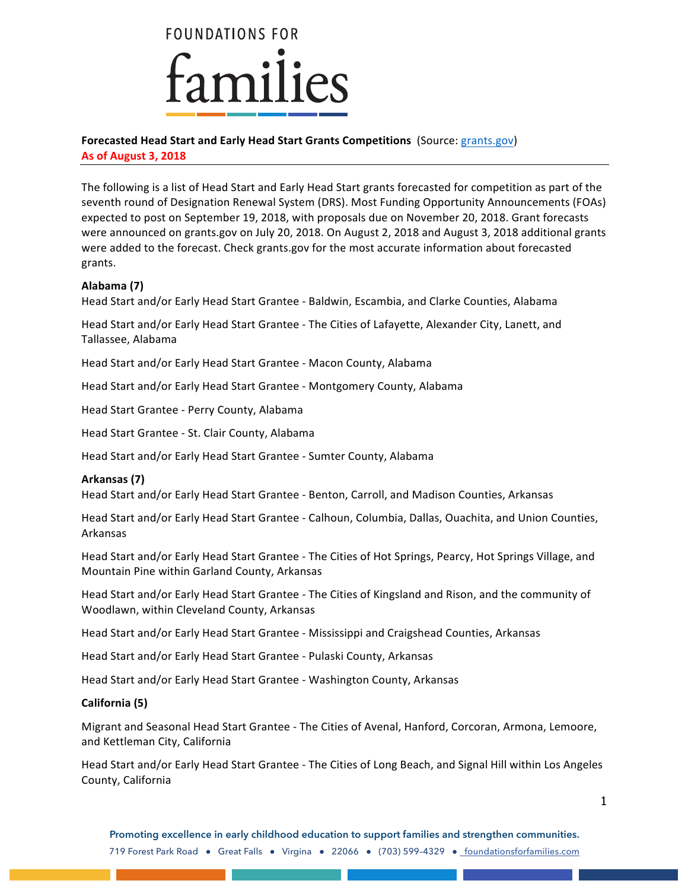

# **Forecasted Head Start and Early Head Start Grants Competitions** (Source: grants.gov)

**As of August 3, 2018**

The following is a list of Head Start and Early Head Start grants forecasted for competition as part of the seventh round of Designation Renewal System (DRS). Most Funding Opportunity Announcements (FOAs) expected to post on September 19, 2018, with proposals due on November 20, 2018. Grant forecasts were announced on grants.gov on July 20, 2018. On August 2, 2018 and August 3, 2018 additional grants were added to the forecast. Check grants.gov for the most accurate information about forecasted grants.

# **Alabama (7)**

Head Start and/or Early Head Start Grantee - Baldwin, Escambia, and Clarke Counties, Alabama

Head Start and/or Early Head Start Grantee - The Cities of Lafayette, Alexander City, Lanett, and Tallassee, Alabama

Head Start and/or Early Head Start Grantee - Macon County, Alabama

Head Start and/or Early Head Start Grantee - Montgomery County, Alabama

Head Start Grantee - Perry County, Alabama

Head Start Grantee - St. Clair County, Alabama

Head Start and/or Early Head Start Grantee - Sumter County, Alabama

# **Arkansas (7)**

Head Start and/or Early Head Start Grantee - Benton, Carroll, and Madison Counties, Arkansas

Head Start and/or Early Head Start Grantee - Calhoun, Columbia, Dallas, Ouachita, and Union Counties, Arkansas

Head Start and/or Early Head Start Grantee - The Cities of Hot Springs, Pearcy, Hot Springs Village, and Mountain Pine within Garland County, Arkansas

Head Start and/or Early Head Start Grantee - The Cities of Kingsland and Rison, and the community of Woodlawn, within Cleveland County, Arkansas

Head Start and/or Early Head Start Grantee - Mississippi and Craigshead Counties, Arkansas

Head Start and/or Early Head Start Grantee - Pulaski County, Arkansas

Head Start and/or Early Head Start Grantee - Washington County, Arkansas

## **California (5)**

Migrant and Seasonal Head Start Grantee - The Cities of Avenal, Hanford, Corcoran, Armona, Lemoore, and Kettleman City, California

Head Start and/or Early Head Start Grantee - The Cities of Long Beach, and Signal Hill within Los Angeles County, California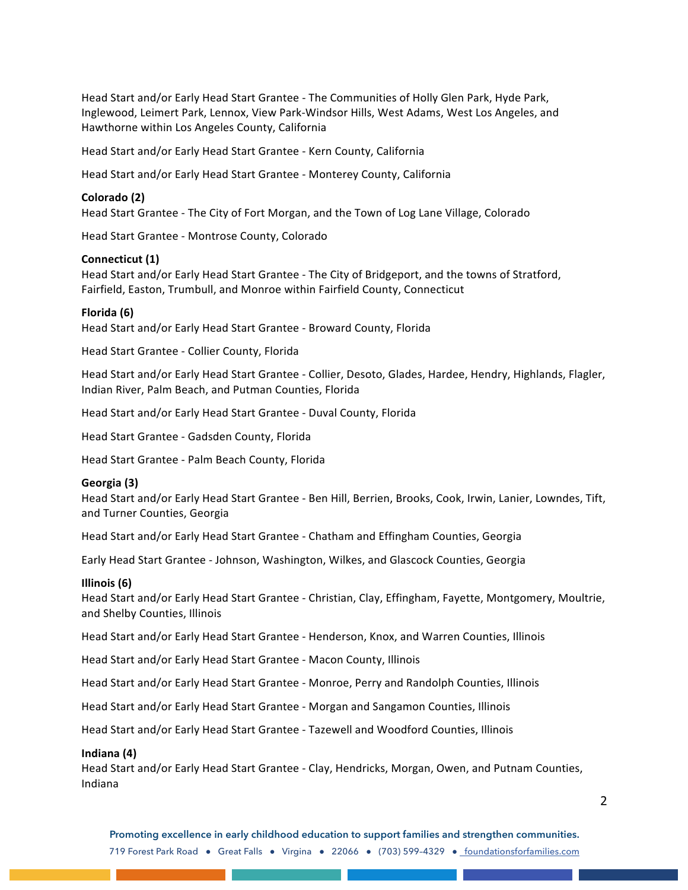Head Start and/or Early Head Start Grantee - The Communities of Holly Glen Park, Hyde Park, Inglewood, Leimert Park, Lennox, View Park-Windsor Hills, West Adams, West Los Angeles, and Hawthorne within Los Angeles County, California

Head Start and/or Early Head Start Grantee - Kern County, California

Head Start and/or Early Head Start Grantee - Monterey County, California

#### **Colorado (2)**

Head Start Grantee - The City of Fort Morgan, and the Town of Log Lane Village, Colorado

Head Start Grantee - Montrose County, Colorado

#### **Connecticut (1)**

Head Start and/or Early Head Start Grantee - The City of Bridgeport, and the towns of Stratford, Fairfield, Easton, Trumbull, and Monroe within Fairfield County, Connecticut

#### **Florida (6)**

Head Start and/or Early Head Start Grantee - Broward County, Florida

Head Start Grantee - Collier County, Florida

Head Start and/or Early Head Start Grantee - Collier, Desoto, Glades, Hardee, Hendry, Highlands, Flagler, Indian River, Palm Beach, and Putman Counties, Florida

Head Start and/or Early Head Start Grantee - Duval County, Florida

Head Start Grantee - Gadsden County, Florida

Head Start Grantee - Palm Beach County, Florida

#### **Georgia (3)**

Head Start and/or Early Head Start Grantee - Ben Hill, Berrien, Brooks, Cook, Irwin, Lanier, Lowndes, Tift, and Turner Counties, Georgia

Head Start and/or Early Head Start Grantee - Chatham and Effingham Counties, Georgia

Early Head Start Grantee - Johnson, Washington, Wilkes, and Glascock Counties, Georgia

#### **Illinois (6)**

Head Start and/or Early Head Start Grantee - Christian, Clay, Effingham, Fayette, Montgomery, Moultrie, and Shelby Counties, Illinois

Head Start and/or Early Head Start Grantee - Henderson, Knox, and Warren Counties, Illinois

Head Start and/or Early Head Start Grantee - Macon County, Illinois

Head Start and/or Early Head Start Grantee - Monroe, Perry and Randolph Counties, Illinois

Head Start and/or Early Head Start Grantee - Morgan and Sangamon Counties, Illinois

Head Start and/or Early Head Start Grantee - Tazewell and Woodford Counties, Illinois

#### **Indiana (4)**

Head Start and/or Early Head Start Grantee - Clay, Hendricks, Morgan, Owen, and Putnam Counties, Indiana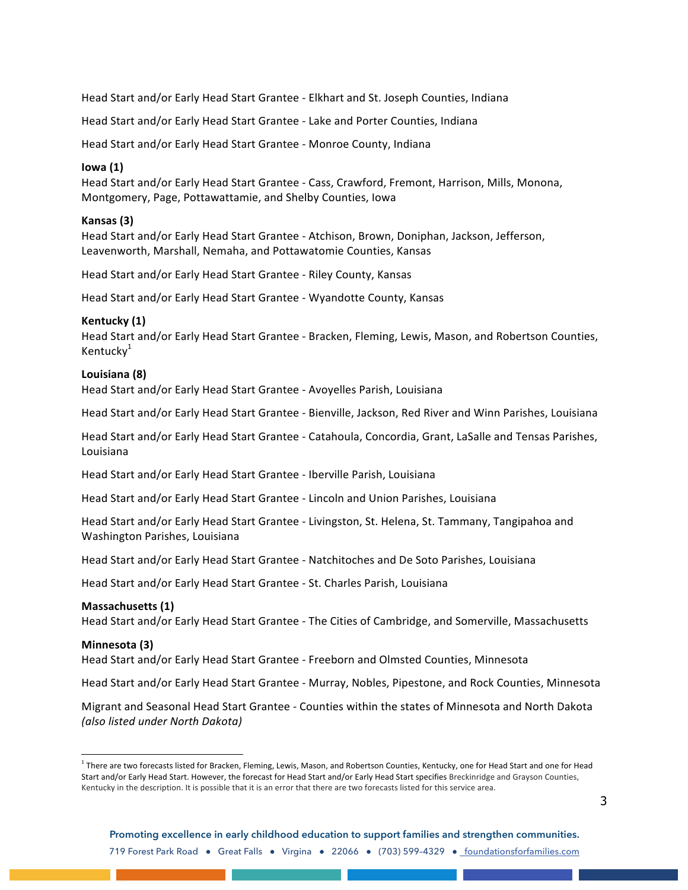Head Start and/or Early Head Start Grantee - Elkhart and St. Joseph Counties, Indiana

Head Start and/or Early Head Start Grantee - Lake and Porter Counties, Indiana

Head Start and/or Early Head Start Grantee - Monroe County, Indiana

#### **Iowa (1)**

Head Start and/or Early Head Start Grantee - Cass, Crawford, Fremont, Harrison, Mills, Monona, Montgomery, Page, Pottawattamie, and Shelby Counties, Iowa

#### **Kansas (3)**

Head Start and/or Early Head Start Grantee - Atchison, Brown, Doniphan, Jackson, Jefferson, Leavenworth, Marshall, Nemaha, and Pottawatomie Counties, Kansas

Head Start and/or Early Head Start Grantee - Riley County, Kansas

Head Start and/or Early Head Start Grantee - Wyandotte County, Kansas

#### **Kentucky (1)**

Head Start and/or Early Head Start Grantee - Bracken, Fleming, Lewis, Mason, and Robertson Counties, Kentuck $v^1$ 

#### **Louisiana (8)**

Head Start and/or Early Head Start Grantee - Avoyelles Parish, Louisiana

Head Start and/or Early Head Start Grantee - Bienville, Jackson, Red River and Winn Parishes, Louisiana

Head Start and/or Early Head Start Grantee - Catahoula, Concordia, Grant, LaSalle and Tensas Parishes, Louisiana

Head Start and/or Early Head Start Grantee - Iberville Parish, Louisiana

Head Start and/or Early Head Start Grantee - Lincoln and Union Parishes, Louisiana

Head Start and/or Early Head Start Grantee - Livingston, St. Helena, St. Tammany, Tangipahoa and Washington Parishes, Louisiana

Head Start and/or Early Head Start Grantee - Natchitoches and De Soto Parishes, Louisiana

Head Start and/or Early Head Start Grantee - St. Charles Parish, Louisiana

## **Massachusetts (1)**

Head Start and/or Early Head Start Grantee - The Cities of Cambridge, and Somerville, Massachusetts

#### **Minnesota (3)**

Head Start and/or Early Head Start Grantee - Freeborn and Olmsted Counties, Minnesota

Head Start and/or Early Head Start Grantee - Murray, Nobles, Pipestone, and Rock Counties, Minnesota

Migrant and Seasonal Head Start Grantee - Counties within the states of Minnesota and North Dakota *(also listed under North Dakota)*

 $1$  There are two forecasts listed for Bracken, Fleming, Lewis, Mason, and Robertson Counties, Kentucky, one for Head Start and one for Head Start and/or Early Head Start. However, the forecast for Head Start and/or Early Head Start specifies Breckinridge and Grayson Counties, Kentucky in the description. It is possible that it is an error that there are two forecasts listed for this service area.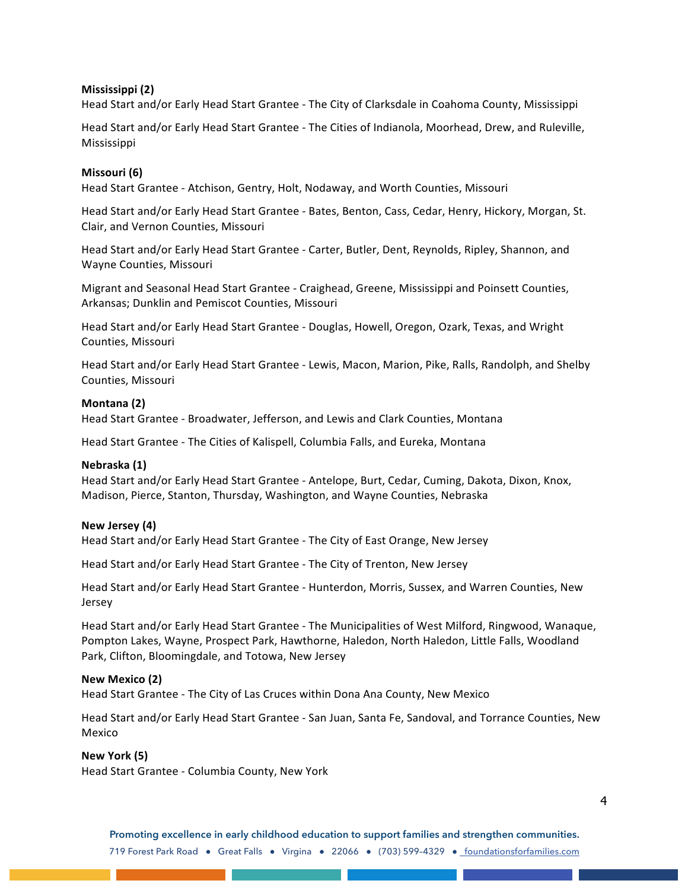## **Mississippi (2)**

Head Start and/or Early Head Start Grantee - The City of Clarksdale in Coahoma County, Mississippi

Head Start and/or Early Head Start Grantee - The Cities of Indianola, Moorhead, Drew, and Ruleville, Mississippi

## **Missouri (6)**

Head Start Grantee - Atchison, Gentry, Holt, Nodaway, and Worth Counties, Missouri

Head Start and/or Early Head Start Grantee - Bates, Benton, Cass, Cedar, Henry, Hickory, Morgan, St. Clair, and Vernon Counties, Missouri

Head Start and/or Early Head Start Grantee - Carter, Butler, Dent, Reynolds, Ripley, Shannon, and Wayne Counties, Missouri

Migrant and Seasonal Head Start Grantee - Craighead, Greene, Mississippi and Poinsett Counties, Arkansas; Dunklin and Pemiscot Counties, Missouri

Head Start and/or Early Head Start Grantee - Douglas, Howell, Oregon, Ozark, Texas, and Wright Counties, Missouri

Head Start and/or Early Head Start Grantee - Lewis, Macon, Marion, Pike, Ralls, Randolph, and Shelby Counties, Missouri

## **Montana (2)**

Head Start Grantee - Broadwater, Jefferson, and Lewis and Clark Counties, Montana

Head Start Grantee - The Cities of Kalispell, Columbia Falls, and Eureka, Montana

## **Nebraska (1)**

Head Start and/or Early Head Start Grantee - Antelope, Burt, Cedar, Cuming, Dakota, Dixon, Knox, Madison, Pierce, Stanton, Thursday, Washington, and Wayne Counties, Nebraska

## **New Jersey (4)**

Head Start and/or Early Head Start Grantee - The City of East Orange, New Jersey

Head Start and/or Early Head Start Grantee - The City of Trenton, New Jersey

Head Start and/or Early Head Start Grantee - Hunterdon, Morris, Sussex, and Warren Counties, New Jersey

Head Start and/or Early Head Start Grantee - The Municipalities of West Milford, Ringwood, Wanaque, Pompton Lakes, Wayne, Prospect Park, Hawthorne, Haledon, North Haledon, Little Falls, Woodland Park, Clifton, Bloomingdale, and Totowa, New Jersey

## **New Mexico (2)**

Head Start Grantee - The City of Las Cruces within Dona Ana County, New Mexico

Head Start and/or Early Head Start Grantee - San Juan, Santa Fe, Sandoval, and Torrance Counties, New Mexico

## **New York (5)**

Head Start Grantee - Columbia County, New York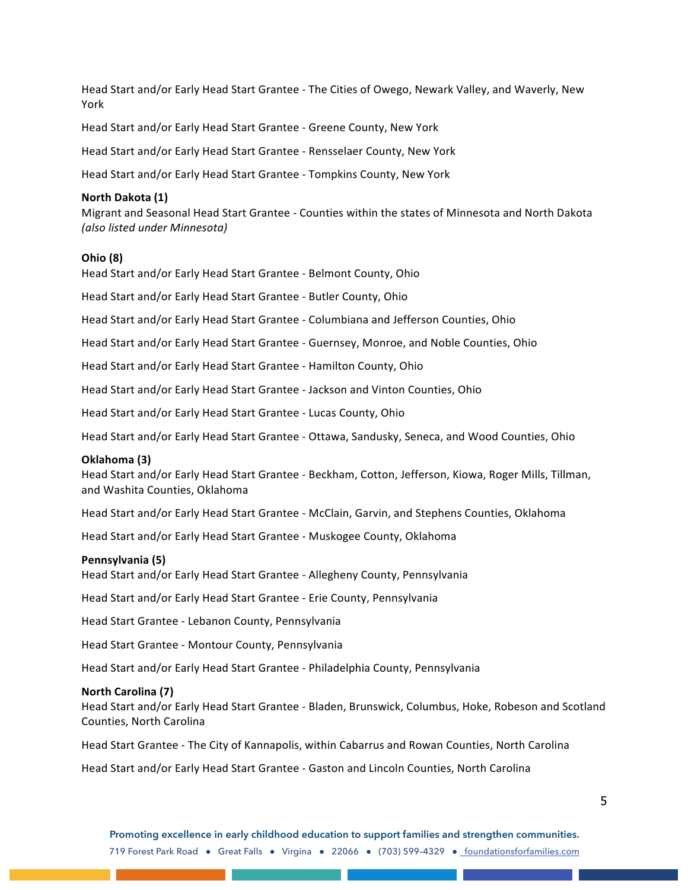Head Start and/or Early Head Start Grantee - The Cities of Owego, Newark Valley, and Waverly, New York

Head Start and/or Early Head Start Grantee - Greene County, New York

Head Start and/or Early Head Start Grantee - Rensselaer County, New York

Head Start and/or Early Head Start Grantee - Tompkins County, New York

#### **North Dakota (1)**

Migrant and Seasonal Head Start Grantee - Counties within the states of Minnesota and North Dakota *(also listed under Minnesota)*

#### **Ohio (8)**

Head Start and/or Early Head Start Grantee - Belmont County, Ohio

Head Start and/or Early Head Start Grantee - Butler County, Ohio

Head Start and/or Early Head Start Grantee - Columbiana and Jefferson Counties, Ohio

Head Start and/or Early Head Start Grantee - Guernsey, Monroe, and Noble Counties, Ohio

Head Start and/or Early Head Start Grantee - Hamilton County, Ohio

Head Start and/or Early Head Start Grantee - Jackson and Vinton Counties, Ohio

Head Start and/or Early Head Start Grantee - Lucas County, Ohio

Head Start and/or Early Head Start Grantee - Ottawa, Sandusky, Seneca, and Wood Counties, Ohio

#### **Oklahoma (3)**

Head Start and/or Early Head Start Grantee - Beckham, Cotton, Jefferson, Kiowa, Roger Mills, Tillman, and Washita Counties, Oklahoma

Head Start and/or Early Head Start Grantee - McClain, Garvin, and Stephens Counties, Oklahoma

Head Start and/or Early Head Start Grantee - Muskogee County, Oklahoma

#### **Pennsylvania (5)**

Head Start and/or Early Head Start Grantee - Allegheny County, Pennsylvania

Head Start and/or Early Head Start Grantee - Erie County, Pennsylvania

Head Start Grantee - Lebanon County, Pennsylvania

Head Start Grantee - Montour County, Pennsylvania

Head Start and/or Early Head Start Grantee - Philadelphia County, Pennsylvania

#### **North Carolina (7)**

Head Start and/or Early Head Start Grantee - Bladen, Brunswick, Columbus, Hoke, Robeson and Scotland Counties, North Carolina

Head Start Grantee - The City of Kannapolis, within Cabarrus and Rowan Counties, North Carolina

Head Start and/or Early Head Start Grantee - Gaston and Lincoln Counties, North Carolina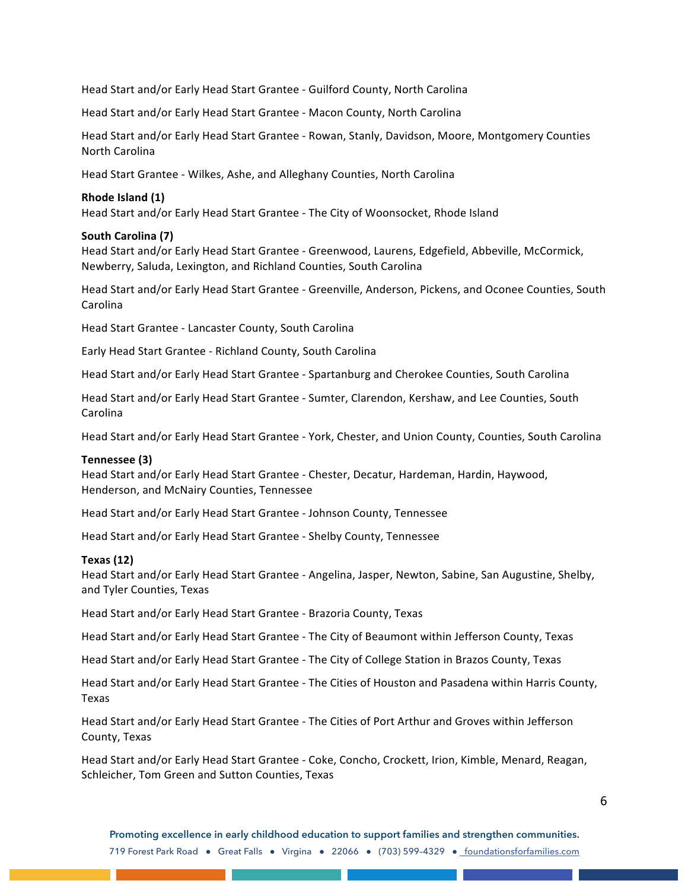Head Start and/or Early Head Start Grantee - Guilford County, North Carolina

Head Start and/or Early Head Start Grantee - Macon County, North Carolina

Head Start and/or Early Head Start Grantee - Rowan, Stanly, Davidson, Moore, Montgomery Counties North Carolina

Head Start Grantee - Wilkes, Ashe, and Alleghany Counties, North Carolina

## **Rhode Island (1)**

Head Start and/or Early Head Start Grantee - The City of Woonsocket, Rhode Island

## **South Carolina (7)**

Head Start and/or Early Head Start Grantee - Greenwood, Laurens, Edgefield, Abbeville, McCormick, Newberry, Saluda, Lexington, and Richland Counties, South Carolina

Head Start and/or Early Head Start Grantee - Greenville, Anderson, Pickens, and Oconee Counties, South Carolina

Head Start Grantee - Lancaster County, South Carolina

Early Head Start Grantee - Richland County, South Carolina

Head Start and/or Early Head Start Grantee - Spartanburg and Cherokee Counties, South Carolina

Head Start and/or Early Head Start Grantee - Sumter, Clarendon, Kershaw, and Lee Counties, South Carolina

Head Start and/or Early Head Start Grantee - York, Chester, and Union County, Counties, South Carolina

#### **Tennessee (3)**

Head Start and/or Early Head Start Grantee - Chester, Decatur, Hardeman, Hardin, Haywood, Henderson, and McNairy Counties, Tennessee

Head Start and/or Early Head Start Grantee - Johnson County, Tennessee

Head Start and/or Early Head Start Grantee - Shelby County, Tennessee

#### **Texas (12)**

Head Start and/or Early Head Start Grantee - Angelina, Jasper, Newton, Sabine, San Augustine, Shelby, and Tyler Counties, Texas

Head Start and/or Early Head Start Grantee - Brazoria County, Texas

Head Start and/or Early Head Start Grantee - The City of Beaumont within Jefferson County, Texas

Head Start and/or Early Head Start Grantee - The City of College Station in Brazos County, Texas

Head Start and/or Early Head Start Grantee - The Cities of Houston and Pasadena within Harris County, Texas

Head Start and/or Early Head Start Grantee - The Cities of Port Arthur and Groves within Jefferson County, Texas

Head Start and/or Early Head Start Grantee - Coke, Concho, Crockett, Irion, Kimble, Menard, Reagan, Schleicher, Tom Green and Sutton Counties, Texas